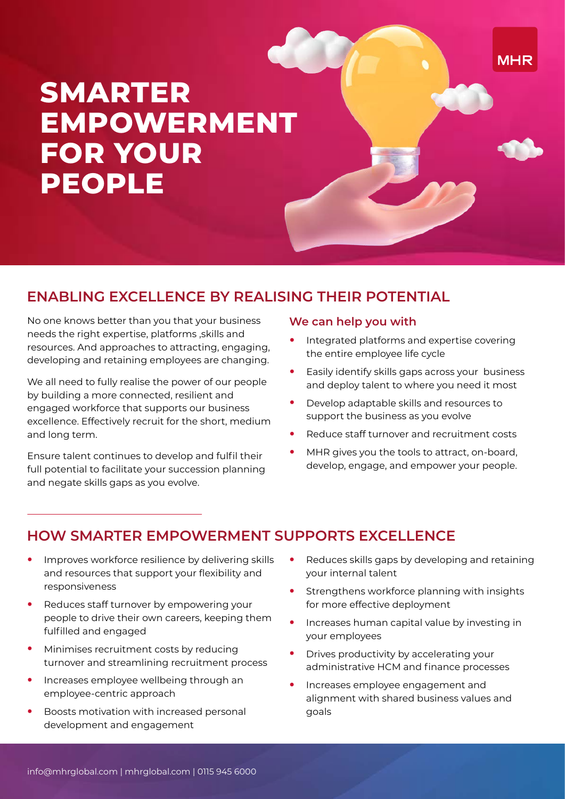**MHR** 

# **SMARTER EMPOWERMENT FOR YOUR PEOPLE**

## **ENABLING EXCELLENCE BY REALISING THEIR POTENTIAL**

No one knows better than you that your business needs the right expertise, platforms ,skills and resources. And approaches to attracting, engaging, developing and retaining employees are changing.

We all need to fully realise the power of our people by building a more connected, resilient and engaged workforce that supports our business excellence. Effectively recruit for the short, medium and long term.

Ensure talent continues to develop and fulfil their full potential to facilitate your succession planning and negate skills gaps as you evolve.

#### **We can help you with**

- **•** Integrated platforms and expertise covering the entire employee life cycle
- **•** Easily identify skills gaps across your business and deploy talent to where you need it most
- **•** Develop adaptable skills and resources to support the business as you evolve
- **•** Reduce staff turnover and recruitment costs
- **•** MHR gives you the tools to attract, on-board, develop, engage, and empower your people.

# **HOW SMARTER EMPOWERMENT SUPPORTS EXCELLENCE**

- **•** Improves workforce resilience by delivering skills and resources that support your flexibility and responsiveness
- **•** Reduces staff turnover by empowering your people to drive their own careers, keeping them fulfilled and engaged
- **•** Minimises recruitment costs by reducing turnover and streamlining recruitment process
- **•** Increases employee wellbeing through an employee-centric approach
- **•** Boosts motivation with increased personal development and engagement
- **•** Reduces skills gaps by developing and retaining your internal talent
- **•** Strengthens workforce planning with insights for more effective deployment
- **•** Increases human capital value by investing in your employees
- **•** Drives productivity by accelerating your administrative HCM and finance processes
- **•** Increases employee engagement and alignment with shared business values and goals